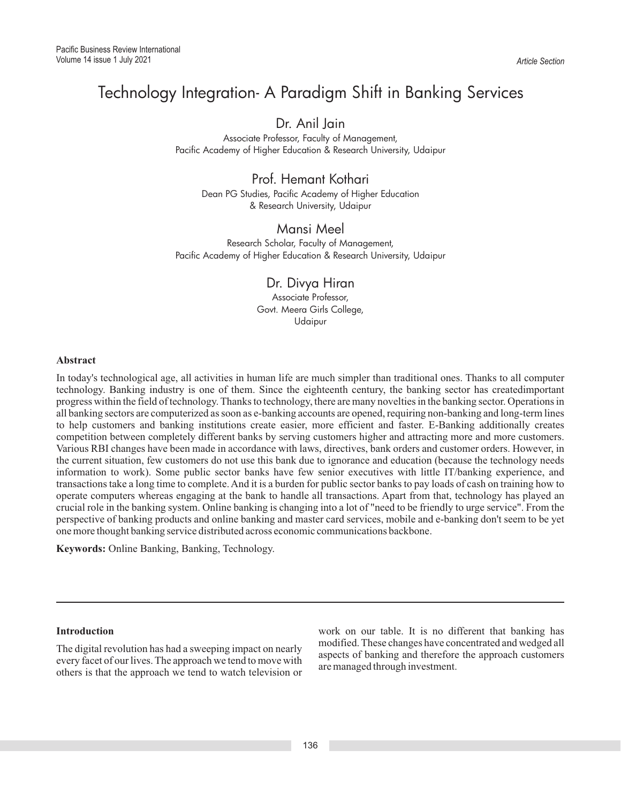# Technology Integration- A Paradigm Shift in Banking Services

## Dr. Anil Jain

Associate Professor, Faculty of Management, Pacific Academy of Higher Education & Research University, Udaipur

## Prof. Hemant Kothari

Dean PG Studies, Pacific Academy of Higher Education & Research University, Udaipur

### Mansi Meel Research Scholar, Faculty of Management, Pacific Academy of Higher Education & Research University, Udaipur

Dr. Divya Hiran Associate Professor, Govt. Meera Girls College, Udaipur

### **Abstract**

In today's technological age, all activities in human life are much simpler than traditional ones. Thanks to all computer technology. Banking industry is one of them. Since the eighteenth century, the banking sector has createdimportant progress within the field of technology. Thanks to technology, there are many novelties in the banking sector. Operations in all banking sectors are computerized as soon as e-banking accounts are opened, requiring non-banking and long-term lines to help customers and banking institutions create easier, more efficient and faster. E-Banking additionally creates competition between completely different banks by serving customers higher and attracting more and more customers. Various RBI changes have been made in accordance with laws, directives, bank orders and customer orders. However, in the current situation, few customers do not use this bank due to ignorance and education (because the technology needs information to work). Some public sector banks have few senior executives with little IT/banking experience, and transactions take a long time to complete. And it is a burden for public sector banks to pay loads of cash on training how to operate computers whereas engaging at the bank to handle all transactions. Apart from that, technology has played an crucial role in the banking system. Online banking is changing into a lot of "need to be friendly to urge service". From the perspective of banking products and online banking and master card services, mobile and e-banking don't seem to be yet one more thought banking service distributed across economic communications backbone.

**Keywords:** Online Banking, Banking, Technology.

The digital revolution has had a sweeping impact on nearly aspects of banking and therefore the approach customers every facet of our lives. The approach we tend to move with are managed through investment. others is that the approach we tend to watch television or

**Introduction**<br>The distribution has be descriptive intervals interact on results. Modified. These changes have concentrated and wedged all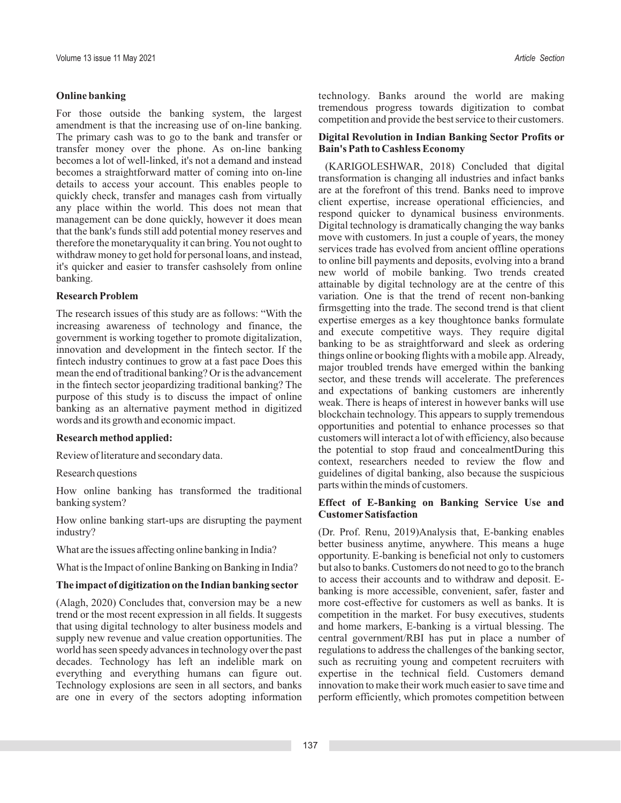For those outside the banking system, the largest<br>amendment is that the increasing use of on-line banking. competition and provide the best service to their customers. The primary cash was to go to the bank and transfer or **Digital Revolution in Indian Banking Sector Profits or** transfer money over the phone. As on-line banking **Bain's Path to Cashless Economy** becomes a lot of well-linked, it's not a demand and instead<br>becomes a straightforward matter of coming into on-line<br>details to access your account. This enables people to<br>quickly check, transfer and manages cash from virtu quickly check, transfer and manages cash from virtually client expertise, increase operational efficiencies, and any place within the world. This does not mean that management can be done quickly, however it does mean<br>that the bank's funds still add potential money reserves and<br>that the bank's funds still add potential money reserves and<br>the customers. In just a couple of years, the m therefore the monetary<br>quality it can bring. You not ought to<br>withdraw money to get hold for personal loans, and instead,<br>it's quicker and easier to transfer cashsolely from online<br>hanking. Two trends created<br>hanking. Two

How online banking has transformed the traditional

**CustomerSatisfaction** How online banking start-ups are disrupting the payment industry? (Dr. Prof. Renu, 2019)Analysis that, E-banking enables

(Alagh, 2020) Concludes that, conversion may be a new trend or the most recent expression in all fields. It suggests competition in the market. For busy executives, students that using digital technology to alter business models and and home markers, E-banking is a virtual blessing. The supply new revenue and value creation opportunities. The central government/RBI has put in place a number of world has seen speedy advances in technology over the past regulations to address the challenges of the banking sector, decades. Technology has left an indelible mark on such as recruiting young and competent recruiters with everything and everything humans can figure out. expertise in the technical field. Customers demand Technology explosions are seen in all sectors, and banks innovation to make their work much easier to save time and are one in every of the sectors adopting information perform efficiently, which promotes competition betwe are one in every of the sectors adopting information

**Online banking** technology. Banks around the world are making<br> **Examples are the line of the line of the line of the line of the line of the set of the set of the set of the line of the line of the line of the line of the** 

new world of mobile banking. Two trends created banking. Two trends created attainable by digital technology are at the centre of this variation. One is that the trend of recent non-banking variation. One is that the trend of recent non-banking The research issues of this study are as follows: "With the<br>increasing awareness of technology and finance, the<br>government is working together to promote digitalization,<br>impovation and development in the fintech sector. If purpose of this study is to discuss the impact of online<br>banking as an alternative payment method in digitized<br>words and its growth and economic impact.<br>words and its growth and economic impact. **Research method applied:** customers will interact a lot of with efficiency, also because Review of literature and secondary data. The potential to stop fraud and concealmentDuring this context, researchers needed to review the flow and Research questions guidelines of digital banking, also because the suspicious parts within the minds of customers.

# banking system? **Effect of E-Banking on Banking Service Use and**

What are the issues affecting online banking in India?<br>opportunity. E-banking is beneficial not only to customers of the india? What is the Impact of online Banking on Banking in India? but also to banks. Customers do not need to go to the branch<br>to access their accounts and to withdraw and deposit. E-**The impact of digitization on the Indian banking sector** banking is more accessible, convenient, safer, faster and (Alagh, 2020) Concludes that, conversion may be a new more cost-effective for customers as well as banks.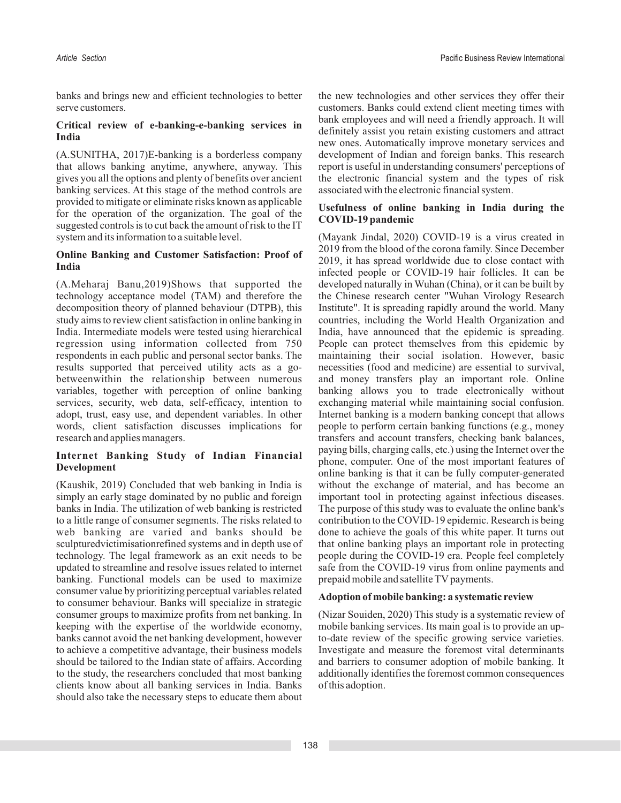banks and brings new and efficient technologies to better the new technologies and other services they offer their serve customers. Customers. Customers. Banks could extend client meeting times with

(A.SUNITHA, 2017)E-banking is a borderless company development of Indian and foreign banks. This research that allows banking anytime, anywhere, anyway. This report is useful in understanding consumers' perceptions of gives you all the options and plenty of benefits over ancient the electronic financial system and the types of risk banking services. At this stage of the method controls are associated with the electronic financial system. provided to mitigate or eliminate risks known as applicable<br>for the operation of the organization. The goal of the<br>suggested controls is to cut back the amount of risk to the IT<br>COVID-19 pandemic system and its information to a suitable level. (Mayank Jindal, 2020) COVID-19 is a virus created in

technology acceptance model (TAM) and therefore the the Chinese research center "Wuhan Virology Research decomposition theory of planned behaviour (DTPB), this Institute". It is spreading rapidly around the world. Many study aims to review client satisfaction in online banking in countries, including the World Health Organization and India. Intermediate models were tested using hierarchical India, have announced that the epidemic is spreading. regression using information collected from 750 People can protect themselves from this epidemic by respondents in each public and personal sector banks. The maintaining their social isolation. However, basic results supported that perceived utility acts as a go- necessities (food and medicine) are essential to survival, results supported that perceived utility acts as a gobetweenwithin the relationship between numerous and money transfers play an important role. Online variables, together with perception of online banking banking allows you to trade electronically without services, security, web data, self-efficacy, intention to exchanging material while maintaining social confusion. adopt, trust, easy use, and dependent variables. In other Internet banking is a modern banking concept that allows words, client satisfaction discusses implications for people to perform certain banking functions (e.g., money research and applies managers.<br>transfers and account transfers, checking bank balances,

simply an early stage dominated by no public and foreign important tool in protecting against infectious diseases. banks in India. The utilization of web banking is restricted The purpose of this study was to evaluate the online bank's to a little range of consumer segments. The risks related to contribution to the COVID-19 epidemic. Research is being web banking are varied and banks should be done to achieve the goals of this white paper. It turns out sculpturedvictimisationrefined systems and in depth use of that online banking plays an important role in protecting technology. The legal framework as an exit needs to be people during the COVID-19 era. People feel completely updated to streamline and resolve issues related to internet safe from the COVID-19 virus from online payments and banking. Functional models can be used to maximize prepaid mobile and satellite TV payments. banking. Functional models can be used to maximize consumer value by prioritizing perceptual variables related **Adoption of mobile banking: a systematic review** to consumer behaviour. Banks will specialize in strategic consumer groups to maximize profits from net banking. In (Nizar Souiden, 2020) This study is a systematic review of keeping with the expertise of the worldwide economy, mobile banking services. Its main goal is to provide an upbanks cannot avoid the net banking development, however to-date review of the specific growing service varieties. to achieve a competitive advantage, their business models Investigate and measure the foremost vital determinants should be tailored to the Indian state of affairs. According and barriers to consumer adoption of mobile banking. It to the study, the researchers concluded that most banking additionally identifies the foremost common consequences clients know about all banking services in India. Banks of this adoption. should also take the necessary steps to educate them about

**Critical review of e-banking-e-banking services in** bank employees and will need a friendly approach. It will definitely assist you retain existing customers and attract **India** new ones. Automatically improve monetary services and

**Online Banking and Customer Satisfaction: Proof of** 2019 from the blood of the corona family. Since December<br> **India**<br> **India**<br> **India**<br> **India**<br> **India**<br> **India**<br> **India** (A.Meharaj Banu,2019)Shows that supported the developed naturally in Wuhan (China), or it can be built by transfers and account transfers, checking bank balances, paying bills, charging calls, etc.) using the Internet over the **Internet Banking Study of Indian Financial Phone, computer.** One of the most important features of **Development** online banking is that it can be fully computer-generated (Kaushik, 2019) Concluded that web banking in India is without the exchange of material, and without the exchange of material, and has become an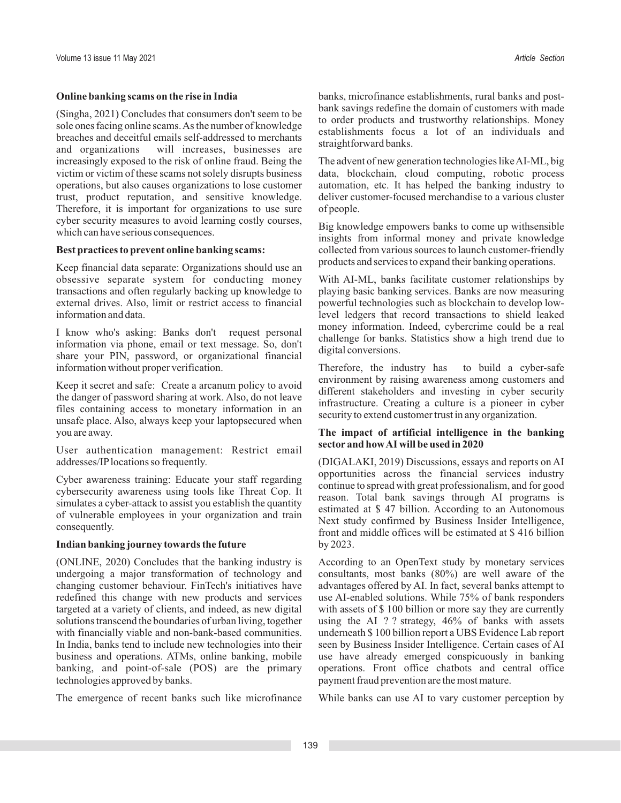breaches and deceitful emails self-addressed to merchants<br>and organizations will increases, businesses are straightforward banks. will increases, businesses are increasingly exposed to the risk of online fraud. Being the The advent of new generation technologies like AI-ML, big victim or victim of these scams not solely disrupts business data, blockchain, cloud computing, robotic process operations, but also causes organizations to lose customer automation, etc. It has helped the banking industry to trust, product reputation, and sensitive knowledge. Therefore, it is important for organizations to use sure of people. cyber security measures to avoid learning costly courses,<br>which can have serious consequences.<br>insights from informal money and private knowledge

obsessive separate system for conducting money With AI-ML, banks facilitate customer relationships by transactions and often regularly backing up knowledge to playing basic banking services. Banks are now measuring external drives. Also, limit or restrict access to financial powerful technologies such as blockchain to develop low-<br>level ledgers that record transactions to shield leaked

I know who's asking: Banks don't request personal money information. Indeed, cybercrime could be a real information via phone, email or text message. So, don't share your PIN, password, or organizational financial digital information without proper verification. Therefore, the industry has to build a cyber-safe

Keep it secret and safe: Create a arcanum policy to avoid<br>the danger of password sharing at work. Also, do not leave<br>files containing access to monetary information in an<br>unsafe place. Also, always keep your laptopsecured you are away. **The impact of artificial intelligence in the banking** 

**sector and how AI will be used in 2020** User authentication management: Restrict email addresses/IPlocations so frequently. (DIGALAKI, 2019) Discussions, essays and reports on AI

simulates a cyber-attack to assist you establish the quantity<br>of vulnerable employees in your organization and train<br>consequently.

### **Indian banking journey towards the future** by 2023.

(ONLINE, 2020) Concludes that the banking industry is According to an OpenText study by monetary services changing customer behaviour. FinTech's initiatives have advantages offered by AI. In fact, several banks attempt to redefined this change with new products and services use AI-enabled solutions. While 75% of bank responders targeted at a variety of clients, and indeed, as new digital with assets of \$ 100 billion or more say they are currently solutions transcend the boundaries of urban living, together using the AI ? ? strategy, 46% of banks with assets with financially viable and non-bank-based communities. underneath \$100 billion report a UBS Evidence Lab report In India, banks tend to include new technologies into their seen by Business Insider Intelligence. Certain cases of AI business and operations. ATMs, online banking, mobile use have already emerged conspicuously in banking banking, and point-of-sale (POS) are the primary operations. Front office chatbots and central office banking, and point-of-sale (POS) are the primary technologies approved by banks. payment fraud prevention are the most mature.

The emergence of recent banks such like microfinance While banks can use AI to vary customer perception by

**Online banking scams on the rise in India** banks, microfinance establishments, rural banks and post-(Singha, 2021) Concludes that consumers don't seem to be<br>sole ones facing online scams. As the number of knowledge establishments focus a lot of an individuals and

**Best practices to prevent online banking scams:** collected from various sources to launch customer-friendly products and services to expand their banking operations. Keep financial data separate: Organizations should use an

level ledgers that record transactions to shield leaked

opportunities across the financial services industry Cyber awareness training: Educate your staff regarding continue to spread with great professionalism, and for good cybersecurity awareness using tools like Threat Cop. It front and middle offices will be estimated at \$ 416 billion

consultants, most banks  $(80\%)$  are well aware of the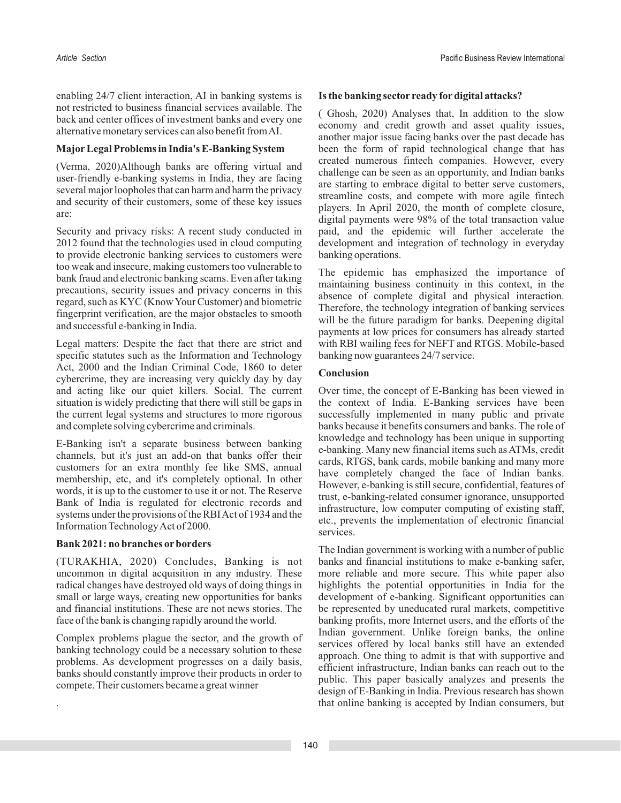enabling 24/7 client interaction, AI in banking systems is **Is the banking sector ready for digital attacks?**<br>not restricted to business financial services available. The not restricted to business infinitent services available. The (Ghosh, 2020) Analyses that, In addition to the slow back and center offices of investment banks and every one economy and credit growth and asset quality issue

user-friendly e-banking systems in India, they are facing several major loopholes that can harm and harm the privacy<br>and security of their customers, some of these key issues<br>are: havens are: havens are: havens are:

2012 found that the technologies used in cloud computing development and integration of technology in everyday to provide electronic banking services to customers were banking operations.<br>too weak and insecure, making customers too vulnerable to too weak and insecure, making customers too vulnerable to The epidemic has emphasized the importance of bank fraud and electronic banking scams. Even after taking

Legal matters: Despite the fact that there are strict and with RBI wailing fees for NEFT and RTGS. Mobile-based specific statutes such as the Information and Technology banking now guarantees  $24/7$  service.<br>Act. 2000 and the Indian Criminal Code. 1860 to deter Act, 2000 and the Indian Criminal Code, 1860 to deter **Conclusion** cybercrime, they are increasing very quickly day by day and acting like our quiet killers. Social. The current Over time, the concept of E-Banking has been viewed in situation is widely predicting that there will still be gaps in the context of India. E-Banking services have been the current legal systems and structures to more rigorous successfully implemented in many public and private and complete solving cybercrime and criminals. banks because it benefits consumers and banks. The role of

(TURAKHIA, 2020) Concludes, Banking is not banks and financial institutions to make e-banking safer, uncommon in digital acquisition in any industry. These more reliable and more secure. This white paper also radical changes have destroyed old ways of doing things in highlights the potential opportunities in India for the small or large ways, creating new opportunities for banks development of e-banking. Significant opportunities can and financial institutions. These are not news stories. The be represented by uneducated rural markets, competitive face of the bank is changing rapidly around the world. banking profits, more Internet users, and the efforts of the

alternative monetary services can also benefit from AI. another major issue facing banks over the past decade has a mother major issue facing banks over the past decade has **MajorLegal Problems in India's E-Banking System** been the form of rapid technological change that has (Verma, 2020)Although banks are offering virtual and created numerous fintech companies. However, every challenge can be seen as an opportunity, and Indian banks are facing the seen as an opportunity, and Indian banks are digital payments were 98% of the total transaction value Security and privacy risks: A recent study conducted in paid, and the epidemic will further accelerate the

bank fraud and electronic banking scams. Even after taking<br>precautions, security issues and privacy concerns in this<br>regard, such as KYC (Know Your Customer) and biometric<br>fingerprint verification, are the major obstacles

E-Banking isn't a separate business between banking<br>
c-banking knowledge and technology has been unique in supporting<br>
channels, but it's just an add-on that banks offer their<br>
customers for an extra monthly fee like SMS,

**Bank 2021: no branches or borders** The Indian government is working with a number of public Complex problems plague the sector, and the growth of<br>banking technology could be a necessary solution to these<br>problems. As development progresses on a daily basis,<br>banks should constantly improve their products in order . that online banking is accepted by Indian consumers, but